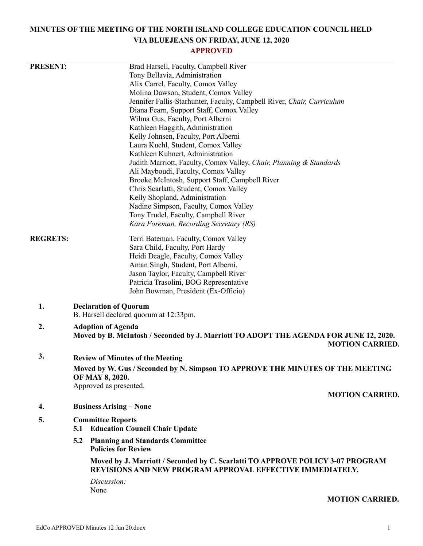# **MINUTES OF THE MEETING OF THE NORTH ISLAND COLLEGE EDUCATION COUNCIL HELD VIA BLUEJEANS ON FRIDAY, JUNE 12, 2020**

## **APPROVED**

| <b>PRESENT:</b> |                                                                                                                                             | Brad Harsell, Faculty, Campbell River                                                                           |
|-----------------|---------------------------------------------------------------------------------------------------------------------------------------------|-----------------------------------------------------------------------------------------------------------------|
|                 |                                                                                                                                             | Tony Bellavia, Administration                                                                                   |
|                 |                                                                                                                                             | Alix Carrel, Faculty, Comox Valley                                                                              |
|                 |                                                                                                                                             | Molina Dawson, Student, Comox Valley                                                                            |
|                 |                                                                                                                                             | Jennifer Fallis-Starhunter, Faculty, Campbell River, Chair, Curriculum                                          |
|                 |                                                                                                                                             | Diana Fearn, Support Staff, Comox Valley                                                                        |
|                 |                                                                                                                                             | Wilma Gus, Faculty, Port Alberni                                                                                |
|                 |                                                                                                                                             | Kathleen Haggith, Administration                                                                                |
|                 |                                                                                                                                             | Kelly Johnsen, Faculty, Port Alberni                                                                            |
|                 |                                                                                                                                             | Laura Kuehl, Student, Comox Valley                                                                              |
|                 |                                                                                                                                             | Kathleen Kuhnert, Administration                                                                                |
|                 |                                                                                                                                             | Judith Marriott, Faculty, Comox Valley, Chair, Planning & Standards                                             |
|                 |                                                                                                                                             | Ali Mayboudi, Faculty, Comox Valley                                                                             |
|                 |                                                                                                                                             | Brooke McIntosh, Support Staff, Campbell River<br>Chris Scarlatti, Student, Comox Valley                        |
|                 |                                                                                                                                             | Kelly Shopland, Administration                                                                                  |
|                 |                                                                                                                                             | Nadine Simpson, Faculty, Comox Valley                                                                           |
|                 |                                                                                                                                             | Tony Trudel, Faculty, Campbell River                                                                            |
|                 |                                                                                                                                             | Kara Foreman, Recording Secretary (RS)                                                                          |
|                 |                                                                                                                                             |                                                                                                                 |
| <b>REGRETS:</b> |                                                                                                                                             | Terri Bateman, Faculty, Comox Valley                                                                            |
|                 |                                                                                                                                             | Sara Child, Faculty, Port Hardy                                                                                 |
|                 |                                                                                                                                             | Heidi Deagle, Faculty, Comox Valley                                                                             |
|                 |                                                                                                                                             | Aman Singh, Student, Port Alberni,                                                                              |
|                 |                                                                                                                                             | Jason Taylor, Faculty, Campbell River                                                                           |
|                 |                                                                                                                                             | Patricia Trasolini, BOG Representative                                                                          |
|                 |                                                                                                                                             | John Bowman, President (Ex-Officio)                                                                             |
| 1.              | <b>Declaration of Quorum</b><br>B. Harsell declared quorum at 12:33pm.                                                                      |                                                                                                                 |
| 2.              |                                                                                                                                             | <b>Adoption of Agenda</b>                                                                                       |
|                 |                                                                                                                                             | Moved by B. McIntosh / Seconded by J. Marriott TO ADOPT THE AGENDA FOR JUNE 12, 2020.<br><b>MOTION CARRIED.</b> |
| 3.              |                                                                                                                                             | <b>Review of Minutes of the Meeting</b>                                                                         |
|                 |                                                                                                                                             |                                                                                                                 |
|                 |                                                                                                                                             | Moved by W. Gus / Seconded by N. Simpson TO APPROVE THE MINUTES OF THE MEETING<br>OF MAY 8, 2020.               |
|                 |                                                                                                                                             | Approved as presented.                                                                                          |
|                 |                                                                                                                                             | <b>MOTION CARRIED.</b>                                                                                          |
| 4.              |                                                                                                                                             | <b>Business Arising – None</b>                                                                                  |
|                 |                                                                                                                                             |                                                                                                                 |
| 5.              | 5.1                                                                                                                                         | <b>Committee Reports</b><br><b>Education Council Chair Update</b>                                               |
|                 | 5.2                                                                                                                                         | <b>Planning and Standards Committee</b><br><b>Policies for Review</b>                                           |
|                 | Moved by J. Marriott / Seconded by C. Scarlatti TO APPROVE POLICY 3-07 PROGRAM<br>REVISIONS AND NEW PROGRAM APPROVAL EFFECTIVE IMMEDIATELY. |                                                                                                                 |
|                 |                                                                                                                                             | Discussion:                                                                                                     |
|                 |                                                                                                                                             | None                                                                                                            |
|                 |                                                                                                                                             | <b>MOTION CARRIED.</b>                                                                                          |
|                 |                                                                                                                                             |                                                                                                                 |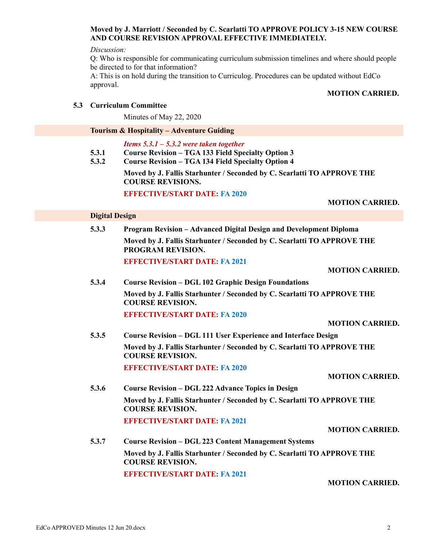## **Moved by J. Marriott / Seconded by C. Scarlatti TO APPROVE POLICY 3-15 NEW COURSE AND COURSE REVISION APPROVAL EFFECTIVE IMMEDIATELY.**

### *Discussion:*

Q: Who is responsible for communicating curriculum submission timelines and where should people be directed to for that information?

A: This is on hold during the transition to Curriculog. Procedures can be updated without EdCo approval.

## **MOTION CARRIED.**

## **5.3 Curriculum Committee**

Minutes of May 22, 2020

### **Tourism & Hospitality – Adventure Guiding**

*Items 5.3.1 – 5.3.2 were taken together*

- **5.3.1 Course Revision – TGA 133 Field Specialty Option 3**
- **5.3.2 Course Revision – TGA 134 Field Specialty Option 4**

**Moved by J. Fallis Starhunter / Seconded by C. Scarlatti TO APPROVE THE COURSE REVISIONS.**

### **EFFECTIVE/START DATE: FA 2020**

### **Digital Design**

**5.3.3 Program Revision – Advanced Digital Design and Development Diploma Moved by J. Fallis Starhunter / Seconded by C. Scarlatti TO APPROVE THE PROGRAM REVISION. EFFECTIVE/START DATE: FA 2021**

**MOTION CARRIED.**

**MOTION CARRIED.**

**5.3.4 Course Revision – DGL 102 Graphic Design Foundations Moved by J. Fallis Starhunter / Seconded by C. Scarlatti TO APPROVE THE COURSE REVISION. EFFECTIVE/START DATE: FA 2020**

### **MOTION CARRIED.**

**5.3.5 Course Revision – DGL 111 User Experience and Interface Design Moved by J. Fallis Starhunter / Seconded by C. Scarlatti TO APPROVE THE COURSE REVISION.**

**EFFECTIVE/START DATE: FA 2020**

### **MOTION CARRIED.**

**5.3.6 Course Revision – DGL 222 Advance Topics in Design Moved by J. Fallis Starhunter / Seconded by C. Scarlatti TO APPROVE THE COURSE REVISION. EFFECTIVE/START DATE: FA 2021**

**5.3.7 Course Revision – DGL 223 Content Management Systems Moved by J. Fallis Starhunter / Seconded by C. Scarlatti TO APPROVE THE COURSE REVISION.**

**EFFECTIVE/START DATE: FA 2021**

**MOTION CARRIED.**

**MOTION CARRIED.**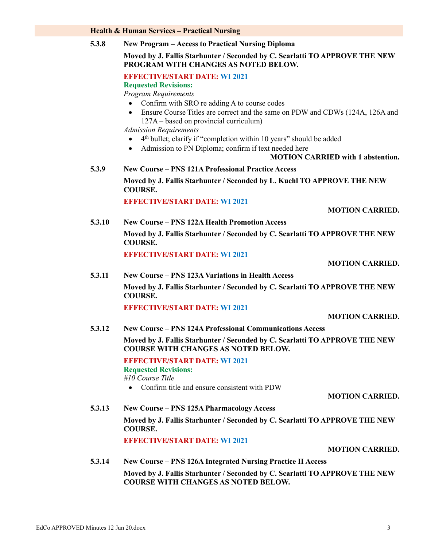### **Health & Human Services – Practical Nursing**

**5.3.8 New Program – Access to Practical Nursing Diploma**

### **Moved by J. Fallis Starhunter / Seconded by C. Scarlatti TO APPROVE THE NEW PROGRAM WITH CHANGES AS NOTED BELOW.**

### **EFFECTIVE/START DATE: WI 2021**

**Requested Revisions:**

*Program Requirements*

- Confirm with SRO re adding A to course codes
- Ensure Course Titles are correct and the same on PDW and CDWs (124A, 126A and 127A – based on provincial curriculum)

*Admission Requirements*

- 4<sup>th</sup> bullet; clarify if "completion within 10 years" should be added
- Admission to PN Diploma; confirm if text needed here
	- **MOTION CARRIED with 1 abstention.**

**5.3.9 New Course – PNS 121A Professional Practice Access**

**Moved by J. Fallis Starhunter / Seconded by L. Kuehl TO APPROVE THE NEW COURSE.**

**EFFECTIVE/START DATE: WI 2021**

**MOTION CARRIED.**

**5.3.10 New Course – PNS 122A Health Promotion Access Moved by J. Fallis Starhunter / Seconded by C. Scarlatti TO APPROVE THE NEW COURSE.**

**EFFECTIVE/START DATE: WI 2021**

#### **MOTION CARRIED.**

**5.3.11 New Course – PNS 123A Variations in Health Access Moved by J. Fallis Starhunter / Seconded by C. Scarlatti TO APPROVE THE NEW COURSE.**

**EFFECTIVE/START DATE: WI 2021**

**MOTION CARRIED.**

**5.3.12 New Course – PNS 124A Professional Communications Access**

**Moved by J. Fallis Starhunter / Seconded by C. Scarlatti TO APPROVE THE NEW COURSE WITH CHANGES AS NOTED BELOW.**

**EFFECTIVE/START DATE: WI 2021 Requested Revisions:**

*#10 Course Title*

Confirm title and ensure consistent with PDW

### **MOTION CARRIED.**

**5.3.13 New Course – PNS 125A Pharmacology Access Moved by J. Fallis Starhunter / Seconded by C. Scarlatti TO APPROVE THE NEW COURSE.**

**EFFECTIVE/START DATE: WI 2021**

**MOTION CARRIED.**

**5.3.14 New Course – PNS 126A Integrated Nursing Practice II Access**

**Moved by J. Fallis Starhunter / Seconded by C. Scarlatti TO APPROVE THE NEW COURSE WITH CHANGES AS NOTED BELOW.**